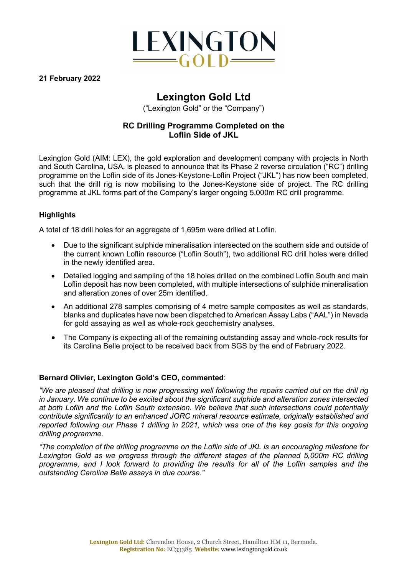

**21 February 2022**

# **Lexington Gold Ltd**

("Lexington Gold" or the "Company")

## **RC Drilling Programme Completed on the Loflin Side of JKL**

Lexington Gold (AIM: LEX), the gold exploration and development company with projects in North and South Carolina, USA, is pleased to announce that its Phase 2 reverse circulation ("RC") drilling programme on the Loflin side of its Jones-Keystone-Loflin Project ("JKL") has now been completed, such that the drill rig is now mobilising to the Jones-Keystone side of project. The RC drilling programme at JKL forms part of the Company's larger ongoing 5,000m RC drill programme.

## **Highlights**

A total of 18 drill holes for an aggregate of 1,695m were drilled at Loflin.

- Due to the significant sulphide mineralisation intersected on the southern side and outside of the current known Loflin resource ("Loflin South"), two additional RC drill holes were drilled in the newly identified area.
- Detailed logging and sampling of the 18 holes drilled on the combined Loflin South and main Loflin deposit has now been completed, with multiple intersections of sulphide mineralisation and alteration zones of over 25m identified.
- An additional 278 samples comprising of 4 metre sample composites as well as standards, blanks and duplicates have now been dispatched to American Assay Labs ("AAL") in Nevada for gold assaying as well as whole-rock geochemistry analyses.
- The Company is expecting all of the remaining outstanding assay and whole-rock results for its Carolina Belle project to be received back from SGS by the end of February 2022.

## **Bernard Olivier, Lexington Gold's CEO, commented**:

*"We are pleased that drilling is now progressing well following the repairs carried out on the drill rig in January. We continue to be excited about the significant sulphide and alteration zones intersected at both Loflin and the Loflin South extension. We believe that such intersections could potentially contribute significantly to an enhanced JORC mineral resource estimate, originally established and reported following our Phase 1 drilling in 2021, which was one of the key goals for this ongoing drilling programme.*

*"The completion of the drilling programme on the Loflin side of JKL is an encouraging milestone for Lexington Gold as we progress through the different stages of the planned 5,000m RC drilling programme, and I look forward to providing the results for all of the Loflin samples and the outstanding Carolina Belle assays in due course."*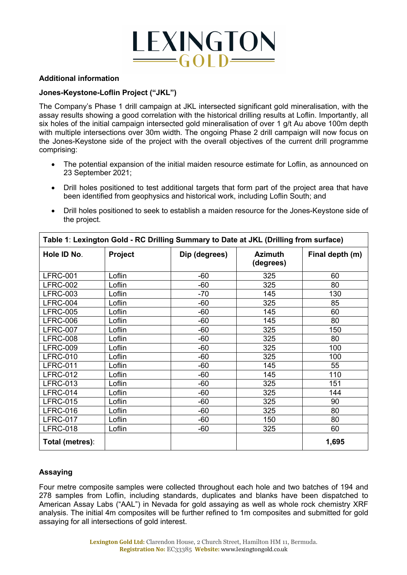

#### **Additional information**

#### **Jones-Keystone-Loflin Project ("JKL")**

The Company's Phase 1 drill campaign at JKL intersected significant gold mineralisation, with the assay results showing a good correlation with the historical drilling results at Loflin. Importantly, all six holes of the initial campaign intersected gold mineralisation of over 1 g/t Au above 100m depth with multiple intersections over 30m width. The ongoing Phase 2 drill campaign will now focus on the Jones-Keystone side of the project with the overall objectives of the current drill programme comprising:

- The potential expansion of the initial maiden resource estimate for Loflin, as announced on 23 September 2021;
- Drill holes positioned to test additional targets that form part of the project area that have been identified from geophysics and historical work, including Loflin South; and
- Drill holes positioned to seek to establish a maiden resource for the Jones-Keystone side of the project.

 $\overline{\phantom{a}}$ 

| Table 1: Lexington Gold - RC Drilling Summary to Date at JKL (Drilling from surface) |         |               |                             |                 |
|--------------------------------------------------------------------------------------|---------|---------------|-----------------------------|-----------------|
| Hole ID No.                                                                          | Project | Dip (degrees) | <b>Azimuth</b><br>(degrees) | Final depth (m) |
| <b>LFRC-001</b>                                                                      | Loflin  | $-60$         | 325                         | 60              |
| <b>LFRC-002</b>                                                                      | Loflin  | $-60$         | 325                         | 80              |
| <b>LFRC-003</b>                                                                      | Loflin  | $-70$         | 145                         | 130             |
| <b>LFRC-004</b>                                                                      | Loflin  | $-60$         | 325                         | 85              |
| <b>LFRC-005</b>                                                                      | Loflin  | $-60$         | 145                         | 60              |
| <b>LFRC-006</b>                                                                      | Loflin  | $-60$         | 145                         | 80              |
| <b>LFRC-007</b>                                                                      | Loflin  | $-60$         | 325                         | 150             |
| <b>LFRC-008</b>                                                                      | Loflin  | $-60$         | 325                         | 80              |
| <b>LFRC-009</b>                                                                      | Loflin  | $-60$         | 325                         | 100             |
| <b>LFRC-010</b>                                                                      | Loflin  | $-60$         | 325                         | 100             |
| <b>LFRC-011</b>                                                                      | Loflin  | $-60$         | 145                         | 55              |
| <b>LFRC-012</b>                                                                      | Loflin  | $-60$         | 145                         | 110             |
| <b>LFRC-013</b>                                                                      | Loflin  | $-60$         | 325                         | 151             |
| <b>LFRC-014</b>                                                                      | Loflin  | $-60$         | 325                         | 144             |
| <b>LFRC-015</b>                                                                      | Loflin  | $-60$         | 325                         | 90              |
| <b>LFRC-016</b>                                                                      | Loflin  | $-60$         | 325                         | 80              |
| <b>LFRC-017</b>                                                                      | Loflin  | $-60$         | 150                         | 80              |
| <b>LFRC-018</b>                                                                      | Loflin  | $-60$         | 325                         | 60              |
| Total (metres):                                                                      |         |               |                             | 1,695           |

#### **Assaying**

Four metre composite samples were collected throughout each hole and two batches of 194 and 278 samples from Loflin, including standards, duplicates and blanks have been dispatched to American Assay Labs ("AAL") in Nevada for gold assaying as well as whole rock chemistry XRF analysis. The initial 4m composites will be further refined to 1m composites and submitted for gold assaying for all intersections of gold interest.